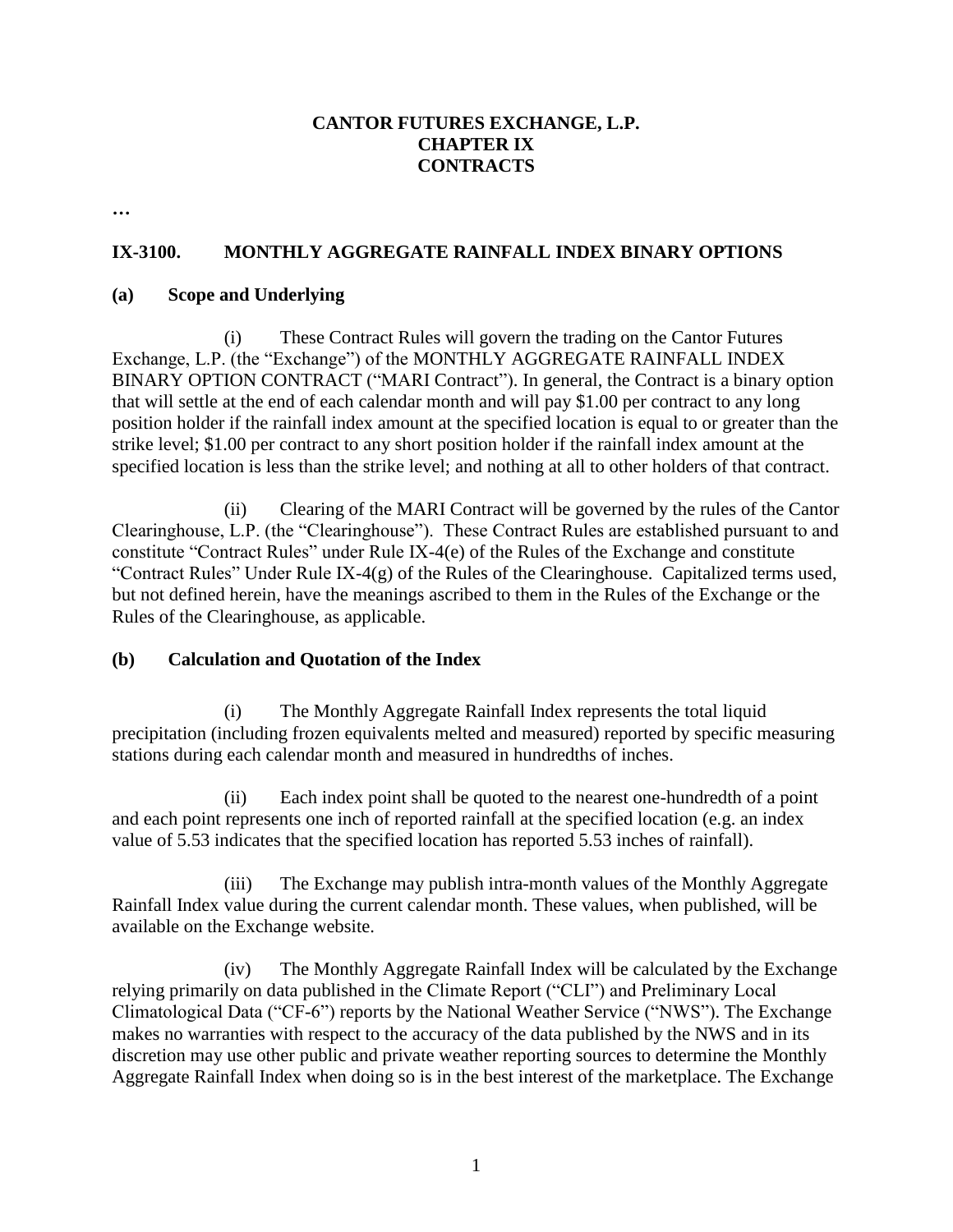## **CANTOR FUTURES EXCHANGE, L.P. CHAPTER IX CONTRACTS**

**…**

#### **IX-3100. MONTHLY AGGREGATE RAINFALL INDEX BINARY OPTIONS**

#### **(a) Scope and Underlying**

(i) These Contract Rules will govern the trading on the Cantor Futures Exchange, L.P. (the "Exchange") of the MONTHLY AGGREGATE RAINFALL INDEX BINARY OPTION CONTRACT ("MARI Contract"). In general, the Contract is a binary option that will settle at the end of each calendar month and will pay \$1.00 per contract to any long position holder if the rainfall index amount at the specified location is equal to or greater than the strike level; \$1.00 per contract to any short position holder if the rainfall index amount at the specified location is less than the strike level; and nothing at all to other holders of that contract.

(ii) Clearing of the MARI Contract will be governed by the rules of the Cantor Clearinghouse, L.P. (the "Clearinghouse"). These Contract Rules are established pursuant to and constitute "Contract Rules" under Rule IX-4(e) of the Rules of the Exchange and constitute "Contract Rules" Under Rule IX-4(g) of the Rules of the Clearinghouse. Capitalized terms used, but not defined herein, have the meanings ascribed to them in the Rules of the Exchange or the Rules of the Clearinghouse, as applicable.

#### **(b) Calculation and Quotation of the Index**

(i) The Monthly Aggregate Rainfall Index represents the total liquid precipitation (including frozen equivalents melted and measured) reported by specific measuring stations during each calendar month and measured in hundredths of inches.

(ii) Each index point shall be quoted to the nearest one-hundredth of a point and each point represents one inch of reported rainfall at the specified location (e.g. an index value of 5.53 indicates that the specified location has reported 5.53 inches of rainfall).

(iii) The Exchange may publish intra-month values of the Monthly Aggregate Rainfall Index value during the current calendar month. These values, when published, will be available on the Exchange website.

(iv) The Monthly Aggregate Rainfall Index will be calculated by the Exchange relying primarily on data published in the Climate Report ("CLI") and Preliminary Local Climatological Data ("CF-6") reports by the National Weather Service ("NWS"). The Exchange makes no warranties with respect to the accuracy of the data published by the NWS and in its discretion may use other public and private weather reporting sources to determine the Monthly Aggregate Rainfall Index when doing so is in the best interest of the marketplace. The Exchange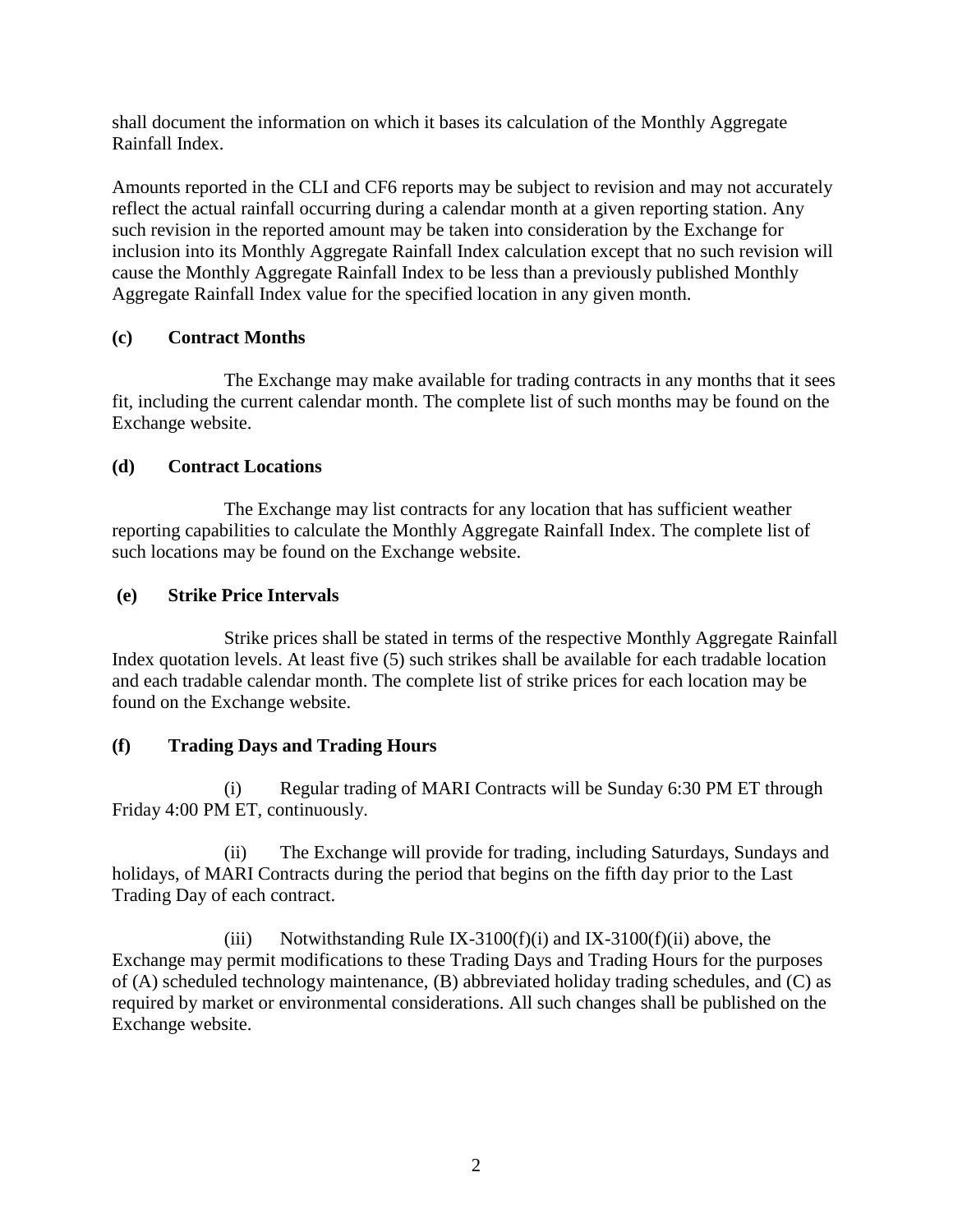shall document the information on which it bases its calculation of the Monthly Aggregate Rainfall Index.

Amounts reported in the CLI and CF6 reports may be subject to revision and may not accurately reflect the actual rainfall occurring during a calendar month at a given reporting station. Any such revision in the reported amount may be taken into consideration by the Exchange for inclusion into its Monthly Aggregate Rainfall Index calculation except that no such revision will cause the Monthly Aggregate Rainfall Index to be less than a previously published Monthly Aggregate Rainfall Index value for the specified location in any given month.

## **(c) Contract Months**

The Exchange may make available for trading contracts in any months that it sees fit, including the current calendar month. The complete list of such months may be found on the Exchange website.

## **(d) Contract Locations**

The Exchange may list contracts for any location that has sufficient weather reporting capabilities to calculate the Monthly Aggregate Rainfall Index. The complete list of such locations may be found on the Exchange website.

## **(e) Strike Price Intervals**

Strike prices shall be stated in terms of the respective Monthly Aggregate Rainfall Index quotation levels. At least five (5) such strikes shall be available for each tradable location and each tradable calendar month. The complete list of strike prices for each location may be found on the Exchange website.

# **(f) Trading Days and Trading Hours**

(i) Regular trading of MARI Contracts will be Sunday 6:30 PM ET through Friday 4:00 PM ET, continuously.

(ii) The Exchange will provide for trading, including Saturdays, Sundays and holidays, of MARI Contracts during the period that begins on the fifth day prior to the Last Trading Day of each contract.

(iii) Notwithstanding Rule IX-3100(f)(i) and IX-3100(f)(ii) above, the Exchange may permit modifications to these Trading Days and Trading Hours for the purposes of (A) scheduled technology maintenance, (B) abbreviated holiday trading schedules, and (C) as required by market or environmental considerations. All such changes shall be published on the Exchange website.